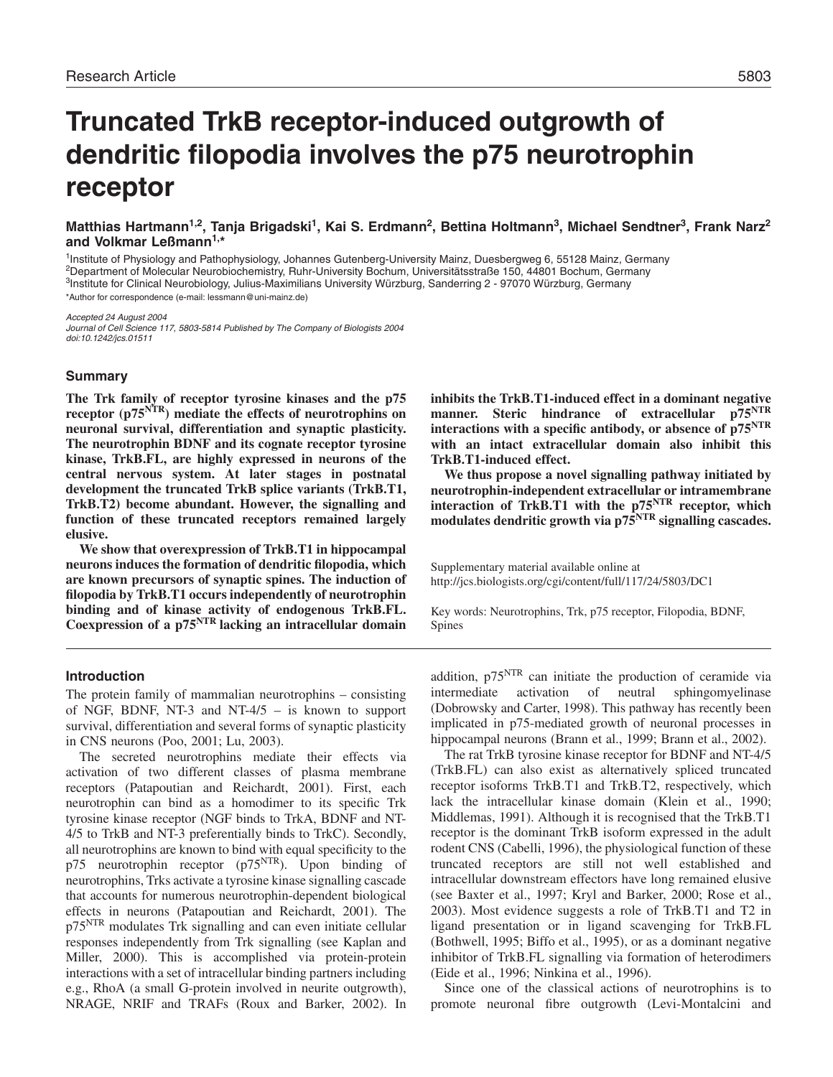# **Truncated TrkB receptor-induced outgrowth of dendritic filopodia involves the p75 neurotrophin receptor**

**Matthias Hartmann1,2, Tanja Brigadski1, Kai S. Erdmann2, Bettina Holtmann3, Michael Sendtner3, Frank Narz2 and Volkmar Leßmann1,\***

1Institute of Physiology and Pathophysiology, Johannes Gutenberg-University Mainz, Duesbergweg 6, 55128 Mainz, Germany 2Department of Molecular Neurobiochemistry, Ruhr-University Bochum, Universitätsstraße 150, 44801 Bochum, Germany <sup>3</sup>Institute for Clinical Neurobiology, Julius-Maximilians University Würzburg, Sanderring 2 - 97070 Würzburg, Germany \*Author for correspondence (e-mail: lessmann@uni-mainz.de)

Accepted 24 August 2004 Journal of Cell Science 117, 5803-5814 Published by The Company of Biologists 2004 doi:10.1242/jcs.01511

# **Summary**

**The Trk family of receptor tyrosine kinases and the p75 receptor (p75NTR) mediate the effects of neurotrophins on neuronal survival, differentiation and synaptic plasticity. The neurotrophin BDNF and its cognate receptor tyrosine kinase, TrkB.FL, are highly expressed in neurons of the central nervous system. At later stages in postnatal development the truncated TrkB splice variants (TrkB.T1, TrkB.T2) become abundant. However, the signalling and function of these truncated receptors remained largely elusive.**

**We show that overexpression of TrkB.T1 in hippocampal neurons induces the formation of dendritic filopodia, which are known precursors of synaptic spines. The induction of filopodia by TrkB.T1 occurs independently of neurotrophin binding and of kinase activity of endogenous TrkB.FL. Coexpression of a p75NTR lacking an intracellular domain**

# **Introduction**

The protein family of mammalian neurotrophins – consisting of NGF, BDNF, NT-3 and NT-4/5 – is known to support survival, differentiation and several forms of synaptic plasticity in CNS neurons (Poo, 2001; Lu, 2003).

The secreted neurotrophins mediate their effects via activation of two different classes of plasma membrane receptors (Patapoutian and Reichardt, 2001). First, each neurotrophin can bind as a homodimer to its specific Trk tyrosine kinase receptor (NGF binds to TrkA, BDNF and NT-4/5 to TrkB and NT-3 preferentially binds to TrkC). Secondly, all neurotrophins are known to bind with equal specificity to the p75 neurotrophin receptor  $(p75<sup>NTR</sup>)$ . Upon binding of neurotrophins, Trks activate a tyrosine kinase signalling cascade that accounts for numerous neurotrophin-dependent biological effects in neurons (Patapoutian and Reichardt, 2001). The p75<sup>NTR</sup> modulates Trk signalling and can even initiate cellular responses independently from Trk signalling (see Kaplan and Miller, 2000). This is accomplished via protein-protein interactions with a set of intracellular binding partners including e.g., RhoA (a small G-protein involved in neurite outgrowth), NRAGE, NRIF and TRAFs (Roux and Barker, 2002). In **inhibits the TrkB.T1-induced effect in a dominant negative manner. Steric hindrance of extracellular p75NTR interactions with a specific antibody, or absence of p75NTR with an intact extracellular domain also inhibit this TrkB.T1-induced effect.**

**We thus propose a novel signalling pathway initiated by neurotrophin-independent extracellular or intramembrane interaction of TrkB.T1 with the p75NTR receptor, which** modulates dendritic growth via p<sup>75</sup><sup>NTR</sup> signalling cascades.

Supplementary material available online at http://jcs.biologists.org/cgi/content/full/117/24/5803/DC1

Key words: Neurotrophins, Trk, p75 receptor, Filopodia, BDNF, Spines

addition,  $p75<sup>NTR</sup>$  can initiate the production of ceramide via intermediate activation of neutral sphingomyelinase (Dobrowsky and Carter, 1998). This pathway has recently been implicated in p75-mediated growth of neuronal processes in hippocampal neurons (Brann et al., 1999; Brann et al., 2002).

The rat TrkB tyrosine kinase receptor for BDNF and NT-4/5 (TrkB.FL) can also exist as alternatively spliced truncated receptor isoforms TrkB.T1 and TrkB.T2, respectively, which lack the intracellular kinase domain (Klein et al., 1990; Middlemas, 1991). Although it is recognised that the TrkB.T1 receptor is the dominant TrkB isoform expressed in the adult rodent CNS (Cabelli, 1996), the physiological function of these truncated receptors are still not well established and intracellular downstream effectors have long remained elusive (see Baxter et al., 1997; Kryl and Barker, 2000; Rose et al., 2003). Most evidence suggests a role of TrkB.T1 and T2 in ligand presentation or in ligand scavenging for TrkB.FL (Bothwell, 1995; Biffo et al., 1995), or as a dominant negative inhibitor of TrkB.FL signalling via formation of heterodimers (Eide et al., 1996; Ninkina et al., 1996).

Since one of the classical actions of neurotrophins is to promote neuronal fibre outgrowth (Levi-Montalcini and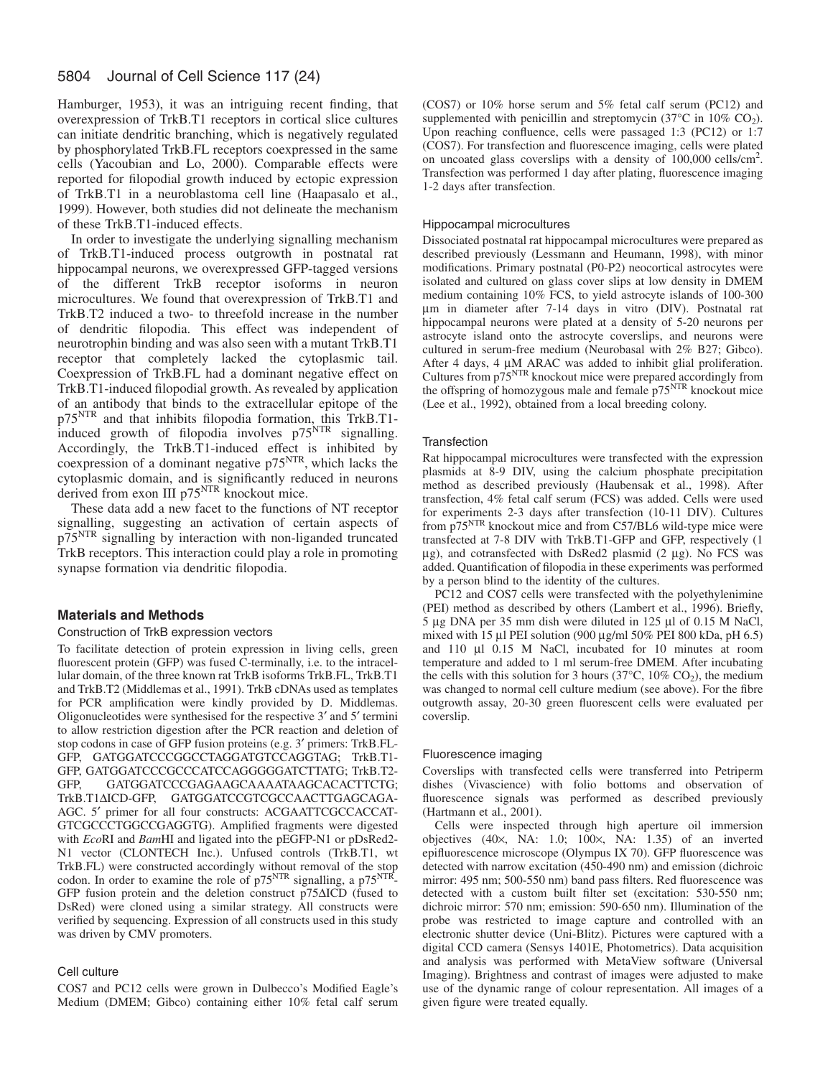Hamburger, 1953), it was an intriguing recent finding, that overexpression of TrkB.T1 receptors in cortical slice cultures can initiate dendritic branching, which is negatively regulated by phosphorylated TrkB.FL receptors coexpressed in the same cells (Yacoubian and Lo, 2000). Comparable effects were reported for filopodial growth induced by ectopic expression of TrkB.T1 in a neuroblastoma cell line (Haapasalo et al., 1999). However, both studies did not delineate the mechanism of these TrkB.T1-induced effects.

In order to investigate the underlying signalling mechanism of TrkB.T1-induced process outgrowth in postnatal rat hippocampal neurons, we overexpressed GFP-tagged versions of the different TrkB receptor isoforms in neuron microcultures. We found that overexpression of TrkB.T1 and TrkB.T2 induced a two- to threefold increase in the number of dendritic filopodia. This effect was independent of neurotrophin binding and was also seen with a mutant TrkB.T1 receptor that completely lacked the cytoplasmic tail. Coexpression of TrkB.FL had a dominant negative effect on TrkB.T1-induced filopodial growth. As revealed by application of an antibody that binds to the extracellular epitope of the p75NTR and that inhibits filopodia formation, this TrkB.T1 induced growth of filopodia involves p75<sup>NTR</sup> signalling. Accordingly, the TrkB.T1-induced effect is inhibited by coexpression of a dominant negative p75NTR, which lacks the cytoplasmic domain, and is significantly reduced in neurons derived from exon III p75<sup>NTR</sup> knockout mice.

These data add a new facet to the functions of NT receptor signalling, suggesting an activation of certain aspects of p75NTR signalling by interaction with non-liganded truncated TrkB receptors. This interaction could play a role in promoting synapse formation via dendritic filopodia.

# **Materials and Methods**

## Construction of TrkB expression vectors

To facilitate detection of protein expression in living cells, green fluorescent protein (GFP) was fused C-terminally, i.e. to the intracellular domain, of the three known rat TrkB isoforms TrkB.FL, TrkB.T1 and TrkB.T2 (Middlemas et al., 1991). TrkB cDNAs used as templates for PCR amplification were kindly provided by D. Middlemas. Oligonucleotides were synthesised for the respective 3′ and 5′ termini to allow restriction digestion after the PCR reaction and deletion of stop codons in case of GFP fusion proteins (e.g. 3′ primers: TrkB.FL-GFP, GATGGATCCCGGCCTAGGATGTCCAGGTAG; TrkB.T1- GFP, GATGGATCCCGCCCATCCAGGGGGATCTTATG; TrkB.T2- GFP, GATGGATCCCGAGAAGCAAAATAAGCACACTTCTG; TrkB.T1∆ICD-GFP, GATGGATCCGTCGCCAACTTGAGCAGA-AGC. 5′ primer for all four constructs: ACGAATTCGCCACCAT-GTCGCCCTGGCCGAGGTG). Amplified fragments were digested with *Eco*RI and *Bam*HI and ligated into the pEGFP-N1 or pDsRed2- N1 vector (CLONTECH Inc.). Unfused controls (TrkB.T1, wt TrkB.FL) were constructed accordingly without removal of the stop codon. In order to examine the role of  $p75<sup>NTR</sup>$  signalling, a  $p75<sup>NTR</sup>$ -GFP fusion protein and the deletion construct p75∆ICD (fused to DsRed) were cloned using a similar strategy. All constructs were verified by sequencing. Expression of all constructs used in this study was driven by CMV promoters.

## Cell culture

COS7 and PC12 cells were grown in Dulbecco's Modified Eagle's Medium (DMEM; Gibco) containing either 10% fetal calf serum (COS7) or 10% horse serum and 5% fetal calf serum (PC12) and supplemented with penicillin and streptomycin (37 $^{\circ}$ C in 10% CO<sub>2</sub>). Upon reaching confluence, cells were passaged 1:3 (PC12) or 1:7 (COS7). For transfection and fluorescence imaging, cells were plated on uncoated glass coverslips with a density of 100,000 cells/cm<sup>2</sup> . Transfection was performed 1 day after plating, fluorescence imaging 1-2 days after transfection.

## Hippocampal microcultures

Dissociated postnatal rat hippocampal microcultures were prepared as described previously (Lessmann and Heumann, 1998), with minor modifications. Primary postnatal (P0-P2) neocortical astrocytes were isolated and cultured on glass cover slips at low density in DMEM medium containing 10% FCS, to yield astrocyte islands of 100-300 µm in diameter after 7-14 days in vitro (DIV). Postnatal rat hippocampal neurons were plated at a density of 5-20 neurons per astrocyte island onto the astrocyte coverslips, and neurons were cultured in serum-free medium (Neurobasal with 2% B27; Gibco). After 4 days, 4  $\mu$ M ARAC was added to inhibit glial proliferation. Cultures from p75NTR knockout mice were prepared accordingly from the offspring of homozygous male and female  $p75<sup>NTR</sup>$  knockout mice (Lee et al., 1992), obtained from a local breeding colony.

## **Transfection**

Rat hippocampal microcultures were transfected with the expression plasmids at 8-9 DIV, using the calcium phosphate precipitation method as described previously (Haubensak et al., 1998). After transfection, 4% fetal calf serum (FCS) was added. Cells were used for experiments 2-3 days after transfection (10-11 DIV). Cultures from p75NTR knockout mice and from C57/BL6 wild-type mice were transfected at 7-8 DIV with TrkB.T1-GFP and GFP, respectively (1 µg), and cotransfected with DsRed2 plasmid (2 µg). No FCS was added. Quantification of filopodia in these experiments was performed by a person blind to the identity of the cultures.

PC12 and COS7 cells were transfected with the polyethylenimine (PEI) method as described by others (Lambert et al., 1996). Briefly, 5 µg DNA per 35 mm dish were diluted in 125 µl of 0.15 M NaCl, mixed with 15 µl PEI solution (900 µg/ml 50% PEI 800 kDa, pH 6.5) and 110 µl 0.15 M NaCl, incubated for 10 minutes at room temperature and added to 1 ml serum-free DMEM. After incubating the cells with this solution for 3 hours (37 $\degree$ C, 10% CO<sub>2</sub>), the medium was changed to normal cell culture medium (see above). For the fibre outgrowth assay, 20-30 green fluorescent cells were evaluated per coverslip.

## Fluorescence imaging

Coverslips with transfected cells were transferred into Petriperm dishes (Vivascience) with folio bottoms and observation of fluorescence signals was performed as described previously (Hartmann et al., 2001).

Cells were inspected through high aperture oil immersion objectives (40×, NA: 1.0; 100×, NA: 1.35) of an inverted epifluorescence microscope (Olympus IX 70). GFP fluorescence was detected with narrow excitation (450-490 nm) and emission (dichroic mirror: 495 nm; 500-550 nm) band pass filters. Red fluorescence was detected with a custom built filter set (excitation: 530-550 nm; dichroic mirror: 570 nm; emission: 590-650 nm). Illumination of the probe was restricted to image capture and controlled with an electronic shutter device (Uni-Blitz). Pictures were captured with a digital CCD camera (Sensys 1401E, Photometrics). Data acquisition and analysis was performed with MetaView software (Universal Imaging). Brightness and contrast of images were adjusted to make use of the dynamic range of colour representation. All images of a given figure were treated equally.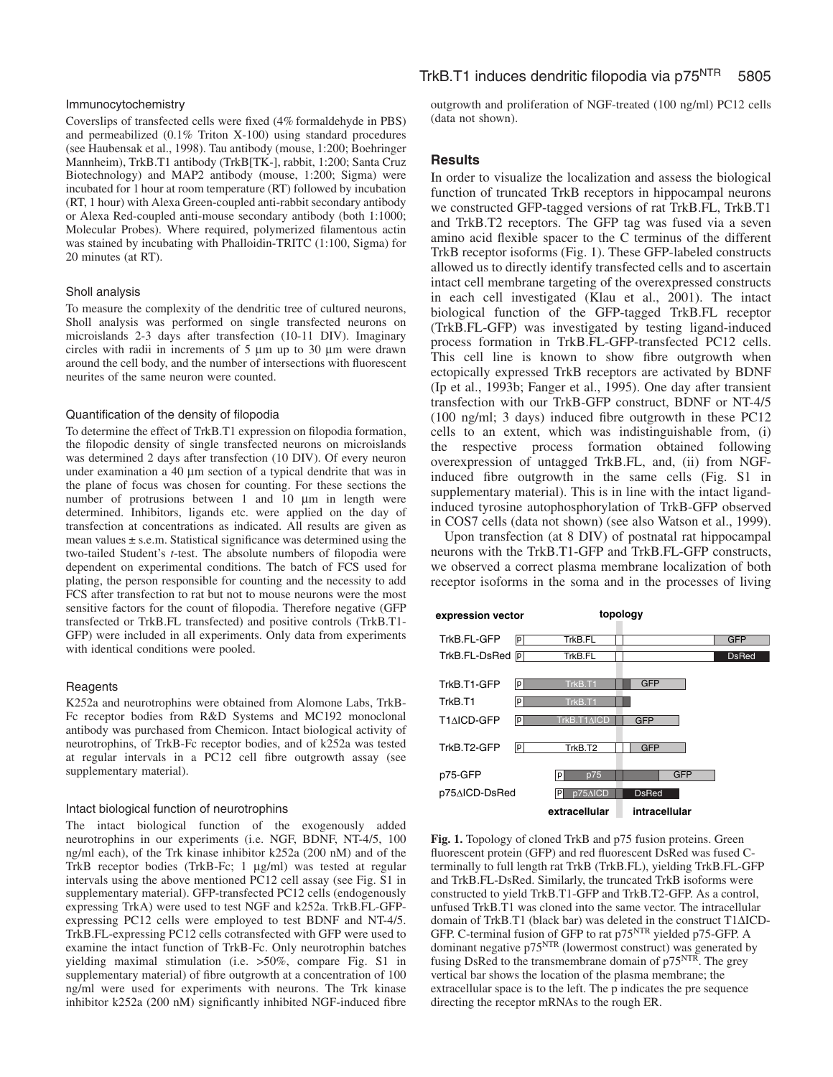## Immunocytochemistry

Coverslips of transfected cells were fixed (4% formaldehyde in PBS) and permeabilized (0.1% Triton X-100) using standard procedures (see Haubensak et al., 1998). Tau antibody (mouse, 1:200; Boehringer Mannheim), TrkB.T1 antibody (TrkB[TK-], rabbit, 1:200; Santa Cruz Biotechnology) and MAP2 antibody (mouse, 1:200; Sigma) were incubated for 1 hour at room temperature (RT) followed by incubation (RT, 1 hour) with Alexa Green-coupled anti-rabbit secondary antibody or Alexa Red-coupled anti-mouse secondary antibody (both 1:1000; Molecular Probes). Where required, polymerized filamentous actin was stained by incubating with Phalloidin-TRITC (1:100, Sigma) for 20 minutes (at RT).

#### Sholl analysis

To measure the complexity of the dendritic tree of cultured neurons, Sholl analysis was performed on single transfected neurons on microislands 2-3 days after transfection (10-11 DIV). Imaginary circles with radii in increments of 5 µm up to 30 µm were drawn around the cell body, and the number of intersections with fluorescent neurites of the same neuron were counted.

#### Quantification of the density of filopodia

To determine the effect of TrkB.T1 expression on filopodia formation, the filopodic density of single transfected neurons on microislands was determined 2 days after transfection (10 DIV). Of every neuron under examination a 40 µm section of a typical dendrite that was in the plane of focus was chosen for counting. For these sections the number of protrusions between 1 and 10  $\mu$ m in length were determined. Inhibitors, ligands etc. were applied on the day of transfection at concentrations as indicated. All results are given as mean values  $\pm$  s.e.m. Statistical significance was determined using the two-tailed Student's *t*-test. The absolute numbers of filopodia were dependent on experimental conditions. The batch of FCS used for plating, the person responsible for counting and the necessity to add FCS after transfection to rat but not to mouse neurons were the most sensitive factors for the count of filopodia. Therefore negative (GFP transfected or TrkB.FL transfected) and positive controls (TrkB.T1- GFP) were included in all experiments. Only data from experiments with identical conditions were pooled.

## **Reagents**

K252a and neurotrophins were obtained from Alomone Labs, TrkB-Fc receptor bodies from R&D Systems and MC192 monoclonal antibody was purchased from Chemicon. Intact biological activity of neurotrophins, of TrkB-Fc receptor bodies, and of k252a was tested at regular intervals in a PC12 cell fibre outgrowth assay (see supplementary material).

## Intact biological function of neurotrophins

The intact biological function of the exogenously added neurotrophins in our experiments (i.e. NGF, BDNF, NT-4/5, 100 ng/ml each), of the Trk kinase inhibitor k252a (200 nM) and of the TrkB receptor bodies (TrkB-Fc; 1 µg/ml) was tested at regular intervals using the above mentioned PC12 cell assay (see Fig. S1 in supplementary material). GFP-transfected PC12 cells (endogenously expressing TrkA) were used to test NGF and k252a. TrkB.FL-GFPexpressing PC12 cells were employed to test BDNF and NT-4/5. TrkB.FL-expressing PC12 cells cotransfected with GFP were used to examine the intact function of TrkB-Fc. Only neurotrophin batches yielding maximal stimulation (i.e. >50%, compare Fig. S1 in supplementary material) of fibre outgrowth at a concentration of 100 ng/ml were used for experiments with neurons. The Trk kinase inhibitor k252a (200 nM) significantly inhibited NGF-induced fibre outgrowth and proliferation of NGF-treated (100 ng/ml) PC12 cells (data not shown).

# **Results**

In order to visualize the localization and assess the biological function of truncated TrkB receptors in hippocampal neurons we constructed GFP-tagged versions of rat TrkB.FL, TrkB.T1 and TrkB.T2 receptors. The GFP tag was fused via a seven amino acid flexible spacer to the C terminus of the different TrkB receptor isoforms (Fig. 1). These GFP-labeled constructs allowed us to directly identify transfected cells and to ascertain intact cell membrane targeting of the overexpressed constructs in each cell investigated (Klau et al., 2001). The intact biological function of the GFP-tagged TrkB.FL receptor (TrkB.FL-GFP) was investigated by testing ligand-induced process formation in TrkB.FL-GFP-transfected PC12 cells. This cell line is known to show fibre outgrowth when ectopically expressed TrkB receptors are activated by BDNF (Ip et al., 1993b; Fanger et al., 1995). One day after transient transfection with our TrkB-GFP construct, BDNF or NT-4/5 (100 ng/ml; 3 days) induced fibre outgrowth in these PC12 cells to an extent, which was indistinguishable from, (i) the respective process formation obtained following overexpression of untagged TrkB.FL, and, (ii) from NGFinduced fibre outgrowth in the same cells (Fig. S1 in supplementary material). This is in line with the intact ligandinduced tyrosine autophosphorylation of TrkB-GFP observed in COS7 cells (data not shown) (see also Watson et al., 1999).

Upon transfection (at 8 DIV) of postnatal rat hippocampal neurons with the TrkB.T1-GFP and TrkB.FL-GFP constructs, we observed a correct plasma membrane localization of both receptor isoforms in the soma and in the processes of living



**Fig. 1.** Topology of cloned TrkB and p75 fusion proteins. Green fluorescent protein (GFP) and red fluorescent DsRed was fused Cterminally to full length rat TrkB (TrkB.FL), yielding TrkB.FL-GFP and TrkB.FL-DsRed. Similarly, the truncated TrkB isoforms were constructed to yield TrkB.T1-GFP and TrkB.T2-GFP. As a control, unfused TrkB.T1 was cloned into the same vector. The intracellular domain of TrkB.T1 (black bar) was deleted in the construct T1∆ICD-GFP. C-terminal fusion of GFP to rat p75NTR yielded p75-GFP. A dominant negative p75<sup>NTR</sup> (lowermost construct) was generated by fusing DsRed to the transmembrane domain of  $p75<sup>NTR</sup>$ . The grey vertical bar shows the location of the plasma membrane; the extracellular space is to the left. The p indicates the pre sequence directing the receptor mRNAs to the rough ER.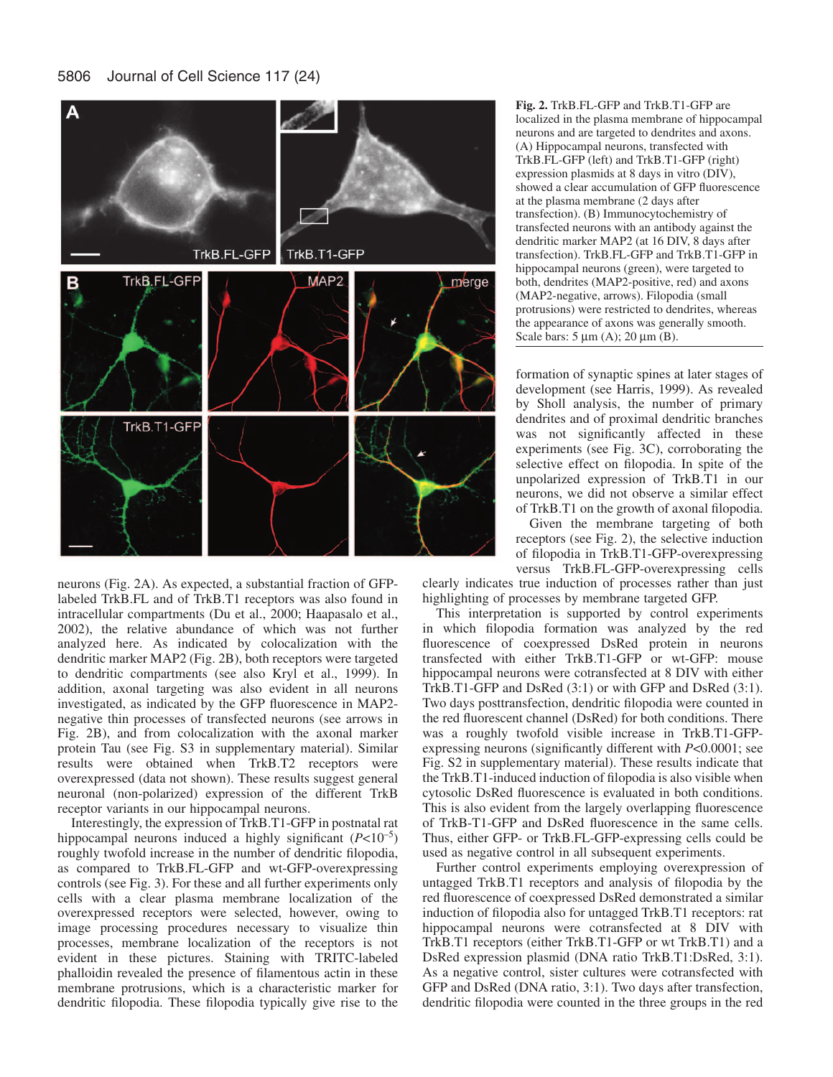

neurons (Fig. 2A). As expected, a substantial fraction of GFPlabeled TrkB.FL and of TrkB.T1 receptors was also found in intracellular compartments (Du et al., 2000; Haapasalo et al., 2002), the relative abundance of which was not further analyzed here. As indicated by colocalization with the dendritic marker MAP2 (Fig. 2B), both receptors were targeted to dendritic compartments (see also Kryl et al., 1999). In addition, axonal targeting was also evident in all neurons investigated, as indicated by the GFP fluorescence in MAP2 negative thin processes of transfected neurons (see arrows in Fig. 2B), and from colocalization with the axonal marker protein Tau (see Fig. S3 in supplementary material). Similar results were obtained when TrkB.T2 receptors were overexpressed (data not shown). These results suggest general neuronal (non-polarized) expression of the different TrkB receptor variants in our hippocampal neurons.

Interestingly, the expression of TrkB.T1-GFP in postnatal rat hippocampal neurons induced a highly significant  $(P<10^{-5})$ roughly twofold increase in the number of dendritic filopodia, as compared to TrkB.FL-GFP and wt-GFP-overexpressing controls (see Fig. 3). For these and all further experiments only cells with a clear plasma membrane localization of the overexpressed receptors were selected, however, owing to image processing procedures necessary to visualize thin processes, membrane localization of the receptors is not evident in these pictures. Staining with TRITC-labeled phalloidin revealed the presence of filamentous actin in these membrane protrusions, which is a characteristic marker for dendritic filopodia. These filopodia typically give rise to the **Fig. 2.** TrkB.FL-GFP and TrkB.T1-GFP are localized in the plasma membrane of hippocampal neurons and are targeted to dendrites and axons. (A) Hippocampal neurons, transfected with TrkB.FL-GFP (left) and TrkB.T1-GFP (right) expression plasmids at 8 days in vitro (DIV), showed a clear accumulation of GFP fluorescence at the plasma membrane (2 days after transfection). (B) Immunocytochemistry of transfected neurons with an antibody against the dendritic marker MAP2 (at 16 DIV, 8 days after transfection). TrkB.FL-GFP and TrkB.T1-GFP in hippocampal neurons (green), were targeted to both, dendrites (MAP2-positive, red) and axons (MAP2-negative, arrows). Filopodia (small protrusions) were restricted to dendrites, whereas the appearance of axons was generally smooth. Scale bars: 5 µm (A); 20 µm (B).

formation of synaptic spines at later stages of development (see Harris, 1999). As revealed by Sholl analysis, the number of primary dendrites and of proximal dendritic branches was not significantly affected in these experiments (see Fig. 3C), corroborating the selective effect on filopodia. In spite of the unpolarized expression of TrkB.T1 in our neurons, we did not observe a similar effect of TrkB.T1 on the growth of axonal filopodia.

Given the membrane targeting of both receptors (see Fig. 2), the selective induction of filopodia in TrkB.T1-GFP-overexpressing versus TrkB.FL-GFP-overexpressing cells

clearly indicates true induction of processes rather than just highlighting of processes by membrane targeted GFP.

This interpretation is supported by control experiments in which filopodia formation was analyzed by the red fluorescence of coexpressed DsRed protein in neurons transfected with either TrkB.T1-GFP or wt-GFP: mouse hippocampal neurons were cotransfected at 8 DIV with either TrkB.T1-GFP and DsRed (3:1) or with GFP and DsRed (3:1). Two days posttransfection, dendritic filopodia were counted in the red fluorescent channel (DsRed) for both conditions. There was a roughly twofold visible increase in TrkB.T1-GFPexpressing neurons (significantly different with *P*<0.0001; see Fig. S2 in supplementary material). These results indicate that the TrkB.T1-induced induction of filopodia is also visible when cytosolic DsRed fluorescence is evaluated in both conditions. This is also evident from the largely overlapping fluorescence of TrkB-T1-GFP and DsRed fluorescence in the same cells. Thus, either GFP- or TrkB.FL-GFP-expressing cells could be used as negative control in all subsequent experiments.

Further control experiments employing overexpression of untagged TrkB.T1 receptors and analysis of filopodia by the red fluorescence of coexpressed DsRed demonstrated a similar induction of filopodia also for untagged TrkB.T1 receptors: rat hippocampal neurons were cotransfected at 8 DIV with TrkB.T1 receptors (either TrkB.T1-GFP or wt TrkB.T1) and a DsRed expression plasmid (DNA ratio TrkB.T1:DsRed, 3:1). As a negative control, sister cultures were cotransfected with GFP and DsRed (DNA ratio, 3:1). Two days after transfection, dendritic filopodia were counted in the three groups in the red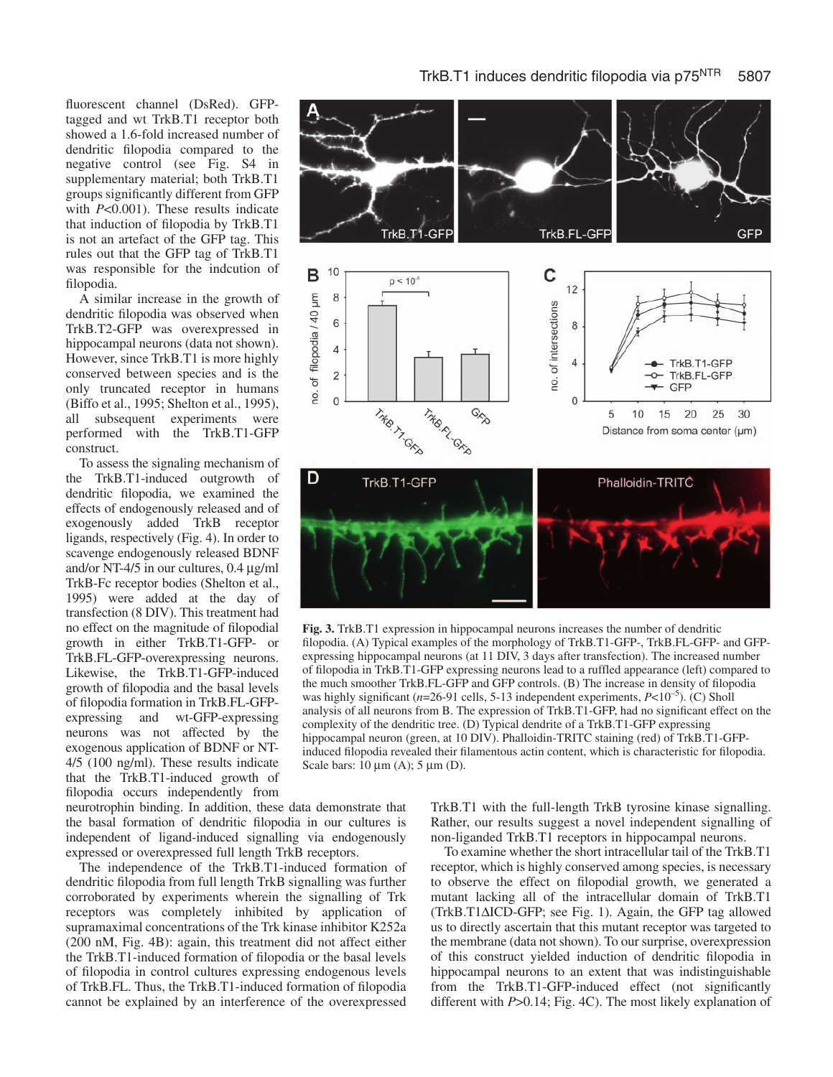fluorescent channel (DsRed). GFPtagged and wt TrkB.T1 receptor both showed a 1.6-fold increased number of dendritic filopodia compared to the negative control (see Fig. S4 in supplementary material; both TrkB.T1 groups significantly different from GFP with *P*<0.001). These results indicate that induction of filopodia by TrkB.T1 is not an artefact of the GFP tag. This rules out that the GFP tag of TrkB.T1 was responsible for the indcution of filopodia.

A similar increase in the growth of dendritic filopodia was observed when TrkB.T2-GFP was overexpressed in hippocampal neurons (data not shown). However, since TrkB.T1 is more highly conserved between species and is the only truncated receptor in humans (Biffo et al., 1995; Shelton et al., 1995), all subsequent experiments were performed with the TrkB.T1-GFP construct.

To assess the signaling mechanism of the TrkB.T1-induced outgrowth of dendritic filopodia, we examined the effects of endogenously released and of exogenously added TrkB receptor ligands, respectively (Fig. 4). In order to scavenge endogenously released BDNF and/or NT-4/5 in our cultures, 0.4 µg/ml TrkB-Fc receptor bodies (Shelton et al., 1995) were added at the day of transfection (8 DIV). This treatment had no effect on the magnitude of filopodial growth in either TrkB.T1-GFP- or TrkB.FL-GFP-overexpressing neurons. Likewise, the TrkB.T1-GFP-induced growth of filopodia and the basal levels of filopodia formation in TrkB.FL-GFPexpressing and wt-GFP-expressing neurons was not affected by the exogenous application of BDNF or NT-4/5 (100 ng/ml). These results indicate that the TrkB.T1-induced growth of filopodia occurs independently from

neurotrophin binding. In addition, these data demonstrate that the basal formation of dendritic filopodia in our cultures is independent of ligand-induced signalling via endogenously expressed or overexpressed full length TrkB receptors.

The independence of the TrkB.T1-induced formation of dendritic filopodia from full length TrkB signalling was further corroborated by experiments wherein the signalling of Trk receptors was completely inhibited by application of supramaximal concentrations of the Trk kinase inhibitor K252a (200 nM, Fig. 4B): again, this treatment did not affect either the TrkB.T1-induced formation of filopodia or the basal levels of filopodia in control cultures expressing endogenous levels of TrkB.FL. Thus, the TrkB.T1-induced formation of filopodia cannot be explained by an interference of the overexpressed



**Fig. 3.** TrkB.T1 expression in hippocampal neurons increases the number of dendritic filopodia. (A) Typical examples of the morphology of TrkB.T1-GFP-, TrkB.FL-GFP- and GFPexpressing hippocampal neurons (at 11 DIV, 3 days after transfection). The increased number of filopodia in TrkB.T1-GFP expressing neurons lead to a ruffled appearance (left) compared to the much smoother TrkB.FL-GFP and GFP controls. (B) The increase in density of filopodia was highly significant ( $n=26-91$  cells, 5-13 independent experiments,  $P<10^{-5}$ ). (C) Sholl analysis of all neurons from B. The expression of TrkB.T1-GFP, had no significant effect on the complexity of the dendritic tree. (D) Typical dendrite of a TrkB.T1-GFP expressing hippocampal neuron (green, at 10 DIV). Phalloidin-TRITC staining (red) of TrkB.T1-GFPinduced filopodia revealed their filamentous actin content, which is characteristic for filopodia. Scale bars:  $10 \mu m$  (A);  $5 \mu m$  (D).

TrkB.T1 with the full-length TrkB tyrosine kinase signalling. Rather, our results suggest a novel independent signalling of non-liganded TrkB.T1 receptors in hippocampal neurons.

To examine whether the short intracellular tail of the TrkB.T1 receptor, which is highly conserved among species, is necessary to observe the effect on filopodial growth, we generated a mutant lacking all of the intracellular domain of TrkB.T1 (TrkB.T1∆ICD-GFP; see Fig. 1). Again, the GFP tag allowed us to directly ascertain that this mutant receptor was targeted to the membrane (data not shown). To our surprise, overexpression of this construct yielded induction of dendritic filopodia in hippocampal neurons to an extent that was indistinguishable from the TrkB.T1-GFP-induced effect (not significantly different with *P*>0.14; Fig. 4C). The most likely explanation of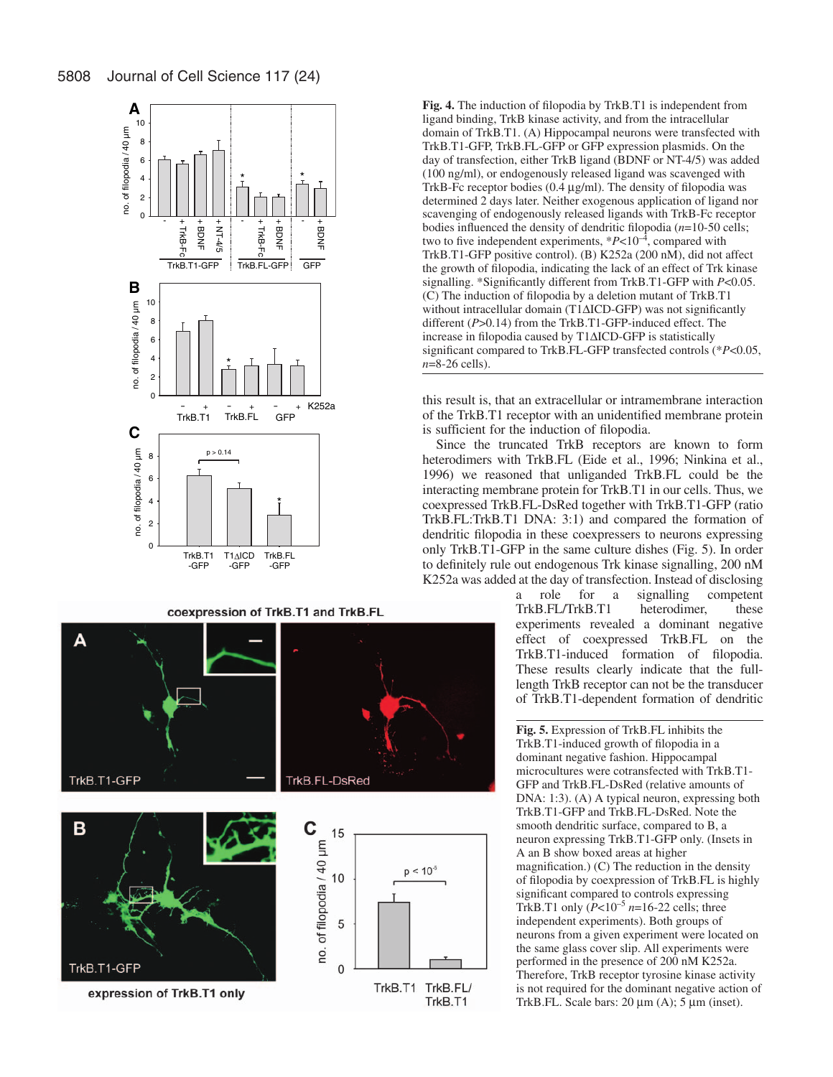

coexpression of TrkB.T1 and TrkB.FL



**Fig. 4.** The induction of filopodia by TrkB.T1 is independent from ligand binding, TrkB kinase activity, and from the intracellular domain of TrkB.T1. (A) Hippocampal neurons were transfected with TrkB.T1-GFP, TrkB.FL-GFP or GFP expression plasmids. On the day of transfection, either TrkB ligand (BDNF or NT-4/5) was added (100 ng/ml), or endogenously released ligand was scavenged with TrkB-Fc receptor bodies (0.4 µg/ml). The density of filopodia was determined 2 days later. Neither exogenous application of ligand nor scavenging of endogenously released ligands with TrkB-Fc receptor bodies influenced the density of dendritic filopodia (*n*=10-50 cells; two to five independent experiments,  $*P<10^{-4}$ , compared with TrkB.T1-GFP positive control). (B) K252a (200 nM), did not affect the growth of filopodia, indicating the lack of an effect of Trk kinase signalling. \*Significantly different from TrkB.T1-GFP with *P*<0.05. (C) The induction of filopodia by a deletion mutant of TrkB.T1 without intracellular domain (T1∆ICD-GFP) was not significantly different (*P*>0.14) from the TrkB.T1-GFP-induced effect. The increase in filopodia caused by T1∆ICD-GFP is statistically significant compared to TrkB.FL-GFP transfected controls (\**P*<0.05, *n*=8-26 cells).

this result is, that an extracellular or intramembrane interaction of the TrkB.T1 receptor with an unidentified membrane protein is sufficient for the induction of filopodia.

Since the truncated TrkB receptors are known to form heterodimers with TrkB.FL (Eide et al., 1996; Ninkina et al., 1996) we reasoned that unliganded TrkB.FL could be the interacting membrane protein for TrkB.T1 in our cells. Thus, we coexpressed TrkB.FL-DsRed together with TrkB.T1-GFP (ratio TrkB.FL:TrkB.T1 DNA: 3:1) and compared the formation of dendritic filopodia in these coexpressers to neurons expressing only TrkB.T1-GFP in the same culture dishes (Fig. 5). In order to definitely rule out endogenous Trk kinase signalling, 200 nM K252a was added at the day of transfection. Instead of disclosing

> a role for a signalling competent TrkB.FL/TrkB.T1 heterodimer, these experiments revealed a dominant negative effect of coexpressed TrkB.FL on the TrkB.T1-induced formation of filopodia. These results clearly indicate that the fulllength TrkB receptor can not be the transducer of TrkB.T1-dependent formation of dendritic

> **Fig. 5.** Expression of TrkB.FL inhibits the TrkB.T1-induced growth of filopodia in a dominant negative fashion. Hippocampal microcultures were cotransfected with TrkB.T1- GFP and TrkB.FL-DsRed (relative amounts of DNA: 1:3). (A) A typical neuron, expressing both TrkB.T1-GFP and TrkB.FL-DsRed. Note the smooth dendritic surface, compared to B, a neuron expressing TrkB.T1-GFP only. (Insets in A an B show boxed areas at higher magnification.) (C) The reduction in the density of filopodia by coexpression of TrkB.FL is highly significant compared to controls expressing TrkB.T1 only  $(P<10^{-5} n=16-22$  cells; three independent experiments). Both groups of neurons from a given experiment were located on the same glass cover slip. All experiments were performed in the presence of 200 nM K252a. Therefore, TrkB receptor tyrosine kinase activity is not required for the dominant negative action of TrkB.FL. Scale bars:  $20 \mu m$  (A);  $5 \mu m$  (inset).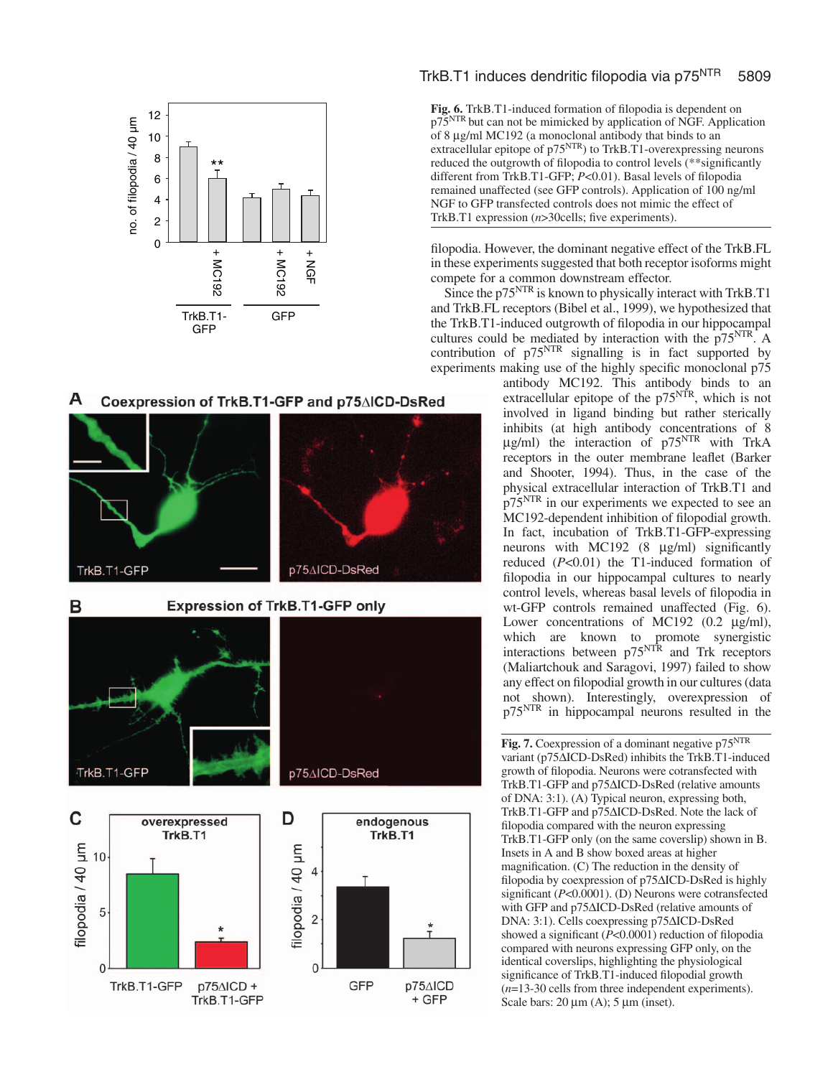

#### A Coexpression of TrkB.T1-GFP and p75∆ICD-DsRed



# TrkB.T1 induces dendritic filopodia via p75<sup>NTR</sup> 5809

**Fig. 6.** TrkB.T1-induced formation of filopodia is dependent on p75<sup>NTR</sup> but can not be mimicked by application of NGF. Application of 8 µg/ml MC192 (a monoclonal antibody that binds to an extracellular epitope of p75<sup>NTR</sup>) to TrkB.T1-overexpressing neurons reduced the outgrowth of filopodia to control levels (\*\*significantly different from TrkB.T1-GFP; *P*<0.01). Basal levels of filopodia remained unaffected (see GFP controls). Application of 100 ng/ml NGF to GFP transfected controls does not mimic the effect of TrkB.T1 expression ( *n*>30cells; five experiments).

filopodia. However, the dominant negative effect of the TrkB.FL in these experiments suggested that both receptor isoforms might compete for a common downstream effector.

Since the p75<sup>NTR</sup> is known to physically interact with TrkB.T1 and TrkB.FL receptors (Bibel et al., 1999), we hypothesized that the TrkB.T1-induced outgrowth of filopodia in our hippocampal cultures could be mediated by interaction with the  $p75<sup>NTR</sup>$ . A contribution of  $p75<sup>NTR</sup>$  signalling is in fact supported by experiments making use of the highly specific monoclonal  $p75$ 

antibody MC192. This antibody binds to an extracellular epitope of the p75<sup>NTR</sup>, which is not involved in ligand binding but rather sterically inhibits (at high antibody concentrations of 8  $\mu$ g/ml) the interaction of p75<sup>NTR</sup> with TrkA receptors in the outer membrane leaflet (Barker and Shooter, 1994). Thus, in the case of the physical extracellular interaction of TrkB.T1 and p75NTR in our experiments we expected to see an MC192-dependent inhibition of filopodial growth. In fact, incubation of TrkB.T1-GFP-expressing neurons with MC192 (8 µg/ml) significantly reduced ( *P*<0.01) the T1-induced formation of filopodia in our hippocampal cultures to nearly control levels, whereas basal levels of filopodia in wt-GFP controls remained unaffected (Fig. 6). Lower concentrations of MC192 (0.2 µg/ml), which are known to promote synergistic interactions between p75<sup>NTR</sup> and Trk receptors (Maliartchouk and Saragovi, 1997) failed to show any effect on filopodial growth in our cultures (data not shown). Interestingly, overexpression of p75NTR in hippocampal neurons resulted in the

Fig. 7. Coexpression of a dominant negative p75<sup>NTR</sup> variant (p75 ∆ICD-DsRed) inhibits the TrkB.T1-induced growth of filopodia. Neurons were cotransfected with TrkB.T1-GFP and p75∆ICD-DsRed (relative amounts of DNA: 3:1). (A) Typical neuron, expressing both, TrkB.T1-GFP and p75 ∆ICD-DsRed. Note the lack of filopodia compared with the neuron expressing TrkB.T1-GFP only (on the same coverslip) shown in B. Insets in A and B show boxed areas at higher magnification. (C) The reduction in the density of filopodia by coexpression of p75 ∆ICD-DsRed is highly significant ( *P*<0.0001). (D) Neurons were cotransfected with GFP and p75 ∆ICD-DsRed (relative amounts of DNA: 3:1). Cells coexpressing p75 ∆ICD-DsRed showed a significant ( *P*<0.0001) reduction of filopodia compared with neurons expressing GFP only, on the identical coverslips, highlighting the physiological significance of TrkB.T1-induced filopodial growth (*n*=13-30 cells from three independent experiments). Scale bars:  $20 \mu m$  (A);  $5 \mu m$  (inset).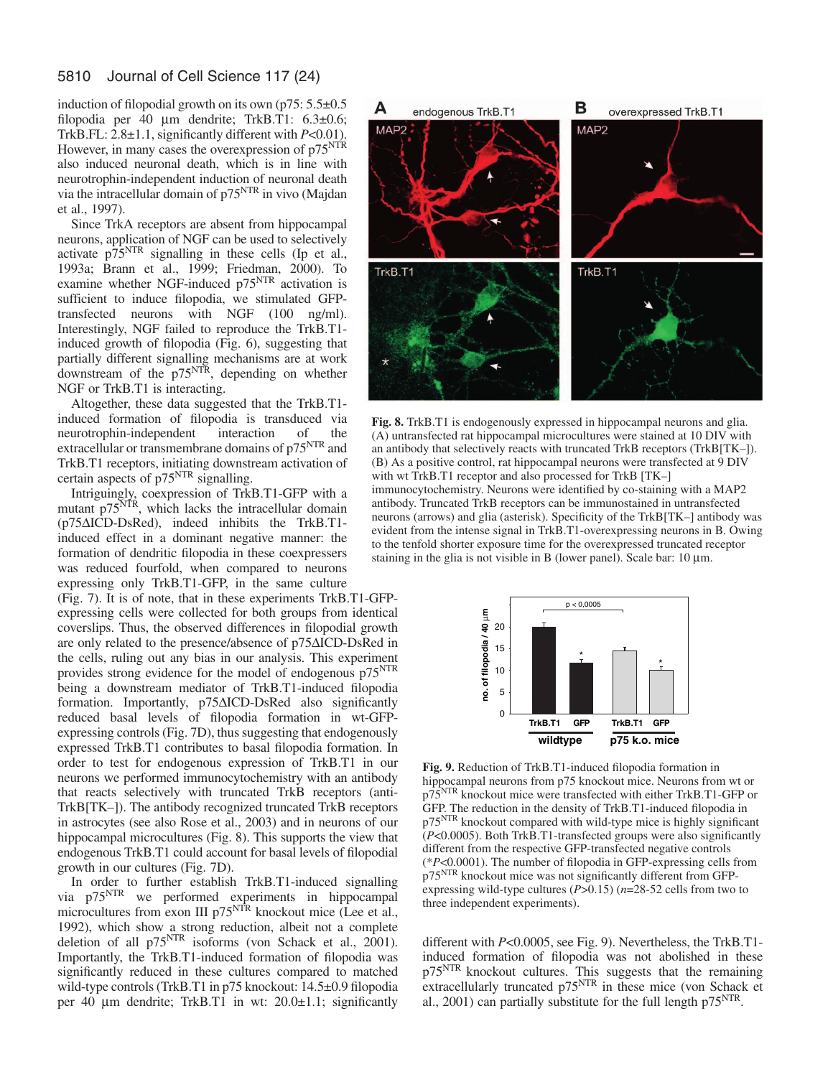induction of filopodial growth on its own ( $p75: 5.5\pm0.5$ ) filopodia per 40 µm dendrite; TrkB.T1: 6.3±0.6; TrkB.FL: 2.8±1.1, significantly different with *P*<0.01). However, in many cases the overexpression of  $p75<sup>NTR</sup>$ also induced neuronal death, which is in line with neurotrophin-independent induction of neuronal death via the intracellular domain of p75<sup>NTR</sup> in vivo (Majdan et al., 1997).

Since TrkA receptors are absent from hippocampal neurons, application of NGF can be used to selectively activate  $p75<sup>NTR</sup>$  signalling in these cells (Ip et al., 1993a; Brann et al., 1999; Friedman, 2000). To examine whether NGF-induced p75<sup>NTR</sup> activation is sufficient to induce filopodia, we stimulated GFPtransfected neurons with NGF (100 ng/ml). Interestingly, NGF failed to reproduce the TrkB.T1 induced growth of filopodia (Fig. 6), suggesting that partially different signalling mechanisms are at work downstream of the p75NTR, depending on whether NGF or TrkB.T1 is interacting.

Altogether, these data suggested that the TrkB.T1 induced formation of filopodia is transduced via neurotrophin-independent interaction of the extracellular or transmembrane domains of p75<sup>NTR</sup> and TrkB.T1 receptors, initiating downstream activation of certain aspects of p75<sup>NTR</sup> signalling.

Intriguingly, coexpression of TrkB.T1-GFP with a mutant  $p75<sup>NTR</sup>$ , which lacks the intracellular domain (p75∆ICD-DsRed), indeed inhibits the TrkB.T1 induced effect in a dominant negative manner: the formation of dendritic filopodia in these coexpressers was reduced fourfold, when compared to neurons expressing only TrkB.T1-GFP, in the same culture

(Fig. 7). It is of note, that in these experiments TrkB.T1-GFPexpressing cells were collected for both groups from identical coverslips. Thus, the observed differences in filopodial growth are only related to the presence/absence of p75∆ICD-DsRed in the cells, ruling out any bias in our analysis. This experiment provides strong evidence for the model of endogenous p75NTR being a downstream mediator of TrkB.T1-induced filopodia formation. Importantly, p75∆ICD-DsRed also significantly reduced basal levels of filopodia formation in wt-GFPexpressing controls (Fig. 7D), thus suggesting that endogenously expressed TrkB.T1 contributes to basal filopodia formation. In order to test for endogenous expression of TrkB.T1 in our neurons we performed immunocytochemistry with an antibody that reacts selectively with truncated TrkB receptors (anti-TrkB[TK–]). The antibody recognized truncated TrkB receptors in astrocytes (see also Rose et al., 2003) and in neurons of our hippocampal microcultures (Fig. 8). This supports the view that endogenous TrkB.T1 could account for basal levels of filopodial growth in our cultures (Fig. 7D).

In order to further establish TrkB.T1-induced signalling via p75<sup>NTR</sup> we performed experiments in hippocampal microcultures from exon III p75<sup>NTR</sup> knockout mice (Lee et al., 1992), which show a strong reduction, albeit not a complete deletion of all p75<sup>NTR</sup> isoforms (von Schack et al., 2001). Importantly, the TrkB.T1-induced formation of filopodia was significantly reduced in these cultures compared to matched wild-type controls (TrkB.T1 in p75 knockout: 14.5±0.9 filopodia per 40 µm dendrite; TrkB.T1 in wt: 20.0±1.1; significantly



**Fig. 8.** TrkB.T1 is endogenously expressed in hippocampal neurons and glia. (A) untransfected rat hippocampal microcultures were stained at 10 DIV with an antibody that selectively reacts with truncated TrkB receptors (TrkB[TK–]). (B) As a positive control, rat hippocampal neurons were transfected at 9 DIV with wt TrkB.T1 receptor and also processed for TrkB [TK–] immunocytochemistry. Neurons were identified by co-staining with a MAP2 antibody. Truncated TrkB receptors can be immunostained in untransfected neurons (arrows) and glia (asterisk). Specificity of the TrkB[TK–] antibody was evident from the intense signal in TrkB.T1-overexpressing neurons in B. Owing to the tenfold shorter exposure time for the overexpressed truncated receptor staining in the glia is not visible in B (lower panel). Scale bar:  $10 \mu m$ .



**Fig. 9.** Reduction of TrkB.T1-induced filopodia formation in hippocampal neurons from p75 knockout mice. Neurons from wt or p75NTR knockout mice were transfected with either TrkB.T1-GFP or GFP. The reduction in the density of TrkB.T1-induced filopodia in p75NTR knockout compared with wild-type mice is highly significant (*P*<0.0005). Both TrkB.T1-transfected groups were also significantly different from the respective GFP-transfected negative controls (\**P*<0.0001). The number of filopodia in GFP-expressing cells from p75NTR knockout mice was not significantly different from GFPexpressing wild-type cultures (*P*>0.15) (*n*=28-52 cells from two to three independent experiments).

different with *P*<0.0005, see Fig. 9). Nevertheless, the TrkB.T1 induced formation of filopodia was not abolished in these p75NTR knockout cultures. This suggests that the remaining extracellularly truncated  $p75<sup>NTR</sup>$  in these mice (von Schack et al., 2001) can partially substitute for the full length p75<sup>NTR</sup>.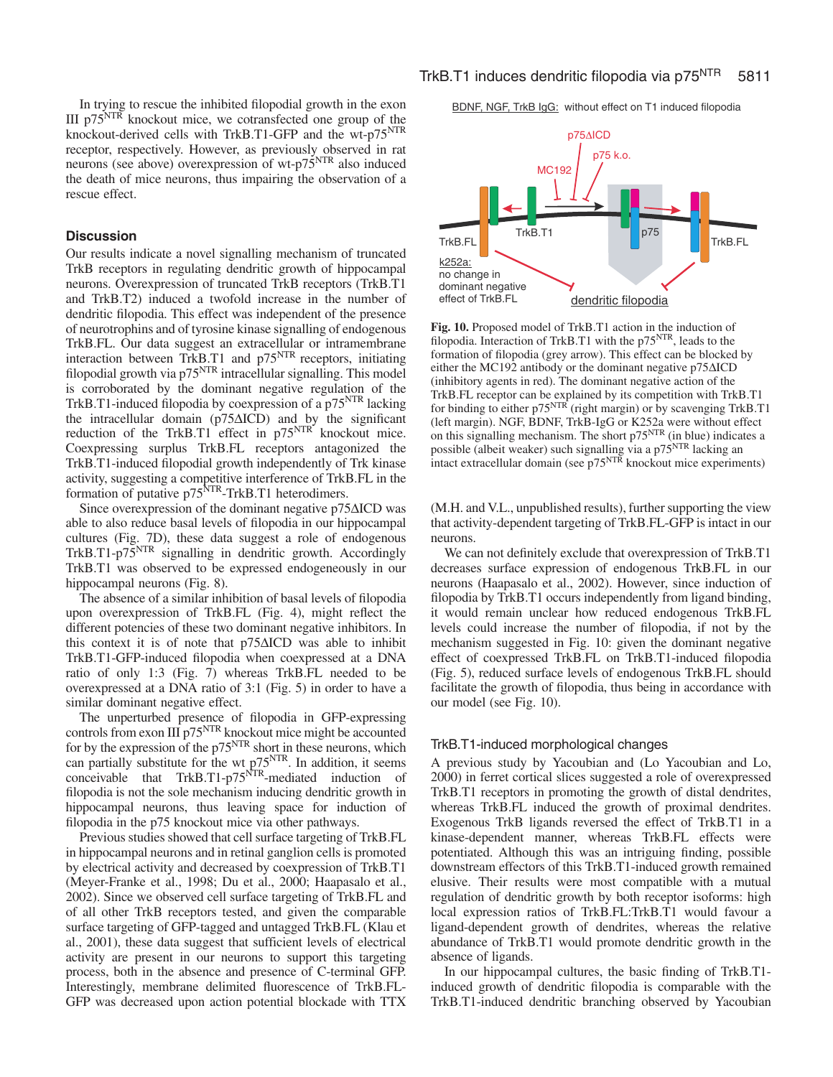In trying to rescue the inhibited filopodial growth in the exon III p75NTR knockout mice, we cotransfected one group of the knockout-derived cells with TrkB.T1-GFP and the wt-p75<sup>NTR</sup> receptor, respectively. However, as previously observed in rat neurons (see above) overexpression of wt-p75NTR also induced the death of mice neurons, thus impairing the observation of a rescue effect.

# **Discussion**

Our results indicate a novel signalling mechanism of truncated TrkB receptors in regulating dendritic growth of hippocampal neurons. Overexpression of truncated TrkB receptors (TrkB.T1 and TrkB.T2) induced a twofold increase in the number of dendritic filopodia. This effect was independent of the presence of neurotrophins and of tyrosine kinase signalling of endogenous TrkB.FL. Our data suggest an extracellular or intramembrane interaction between TrkB.T1 and p75<sup>NTR</sup> receptors, initiating filopodial growth via p75<sup>NTR</sup> intracellular signalling. This model is corroborated by the dominant negative regulation of the TrkB.T1-induced filopodia by coexpression of a p75<sup>NTR</sup> lacking the intracellular domain (p75∆ICD) and by the significant reduction of the TrkB.T1 effect in  $p75<sup>NTR</sup>$  knockout mice. Coexpressing surplus TrkB.FL receptors antagonized the TrkB.T1-induced filopodial growth independently of Trk kinase activity, suggesting a competitive interference of TrkB.FL in the formation of putative p75<sup>NTR</sup>-TrkB.T1 heterodimers.

Since overexpression of the dominant negative p75∆ICD was able to also reduce basal levels of filopodia in our hippocampal cultures (Fig. 7D), these data suggest a role of endogenous TrkB.T1-p75<sup>NTR</sup> signalling in dendritic growth. Accordingly TrkB.T1 was observed to be expressed endogeneously in our hippocampal neurons (Fig. 8).

The absence of a similar inhibition of basal levels of filopodia upon overexpression of TrkB.FL (Fig. 4), might reflect the different potencies of these two dominant negative inhibitors. In this context it is of note that p75∆ICD was able to inhibit TrkB.T1-GFP-induced filopodia when coexpressed at a DNA ratio of only 1:3 (Fig. 7) whereas TrkB.FL needed to be overexpressed at a DNA ratio of 3:1 (Fig. 5) in order to have a similar dominant negative effect.

The unperturbed presence of filopodia in GFP-expressing controls from exon  $III$  p75<sup>NTR</sup> knockout mice might be accounted for by the expression of the  $p75<sup>NTR</sup>$  short in these neurons, which can partially substitute for the wt p75<sup>NTR</sup>. In addition, it seems conceivable that TrkB.T1-p75<sup>NTR</sup>-mediated induction of filopodia is not the sole mechanism inducing dendritic growth in hippocampal neurons, thus leaving space for induction of filopodia in the p75 knockout mice via other pathways.

Previous studies showed that cell surface targeting of TrkB.FL in hippocampal neurons and in retinal ganglion cells is promoted by electrical activity and decreased by coexpression of TrkB.T1 (Meyer-Franke et al., 1998; Du et al., 2000; Haapasalo et al., 2002). Since we observed cell surface targeting of TrkB.FL and of all other TrkB receptors tested, and given the comparable surface targeting of GFP-tagged and untagged TrkB.FL (Klau et al., 2001), these data suggest that sufficient levels of electrical activity are present in our neurons to support this targeting process, both in the absence and presence of C-terminal GFP. Interestingly, membrane delimited fluorescence of TrkB.FL-GFP was decreased upon action potential blockade with TTX BDNF, NGF, TrkB IgG: without effect on T1 induced filopodia



**Fig. 10.** Proposed model of TrkB.T1 action in the induction of filopodia. Interaction of TrkB.T1 with the p75<sup>NTR</sup>, leads to the formation of filopodia (grey arrow). This effect can be blocked by either the MC192 antibody or the dominant negative p75∆ICD (inhibitory agents in red). The dominant negative action of the TrkB.FL receptor can be explained by its competition with TrkB.T1 for binding to either p75<sup>NTR</sup> (right margin) or by scavenging TrkB.T1 (left margin). NGF, BDNF, TrkB-IgG or K252a were without effect on this signalling mechanism. The short  $p75<sup>NTR</sup>$  (in blue) indicates a possible (albeit weaker) such signalling via a p75<sup>NTR</sup> lacking an intact extracellular domain (see p75<sup>NTR</sup> knockout mice experiments)

(M.H. and V.L., unpublished results), further supporting the view that activity-dependent targeting of TrkB.FL-GFP is intact in our neurons.

We can not definitely exclude that overexpression of TrkB.T1 decreases surface expression of endogenous TrkB.FL in our neurons (Haapasalo et al., 2002). However, since induction of filopodia by TrkB.T1 occurs independently from ligand binding, it would remain unclear how reduced endogenous TrkB.FL levels could increase the number of filopodia, if not by the mechanism suggested in Fig. 10: given the dominant negative effect of coexpressed TrkB.FL on TrkB.T1-induced filopodia (Fig. 5), reduced surface levels of endogenous TrkB.FL should facilitate the growth of filopodia, thus being in accordance with our model (see Fig. 10).

#### TrkB.T1-induced morphological changes

A previous study by Yacoubian and (Lo Yacoubian and Lo, 2000) in ferret cortical slices suggested a role of overexpressed TrkB.T1 receptors in promoting the growth of distal dendrites, whereas TrkB.FL induced the growth of proximal dendrites. Exogenous TrkB ligands reversed the effect of TrkB.T1 in a kinase-dependent manner, whereas TrkB.FL effects were potentiated. Although this was an intriguing finding, possible downstream effectors of this TrkB.T1-induced growth remained elusive. Their results were most compatible with a mutual regulation of dendritic growth by both receptor isoforms: high local expression ratios of TrkB.FL:TrkB.T1 would favour a ligand-dependent growth of dendrites, whereas the relative abundance of TrkB.T1 would promote dendritic growth in the absence of ligands.

In our hippocampal cultures, the basic finding of TrkB.T1 induced growth of dendritic filopodia is comparable with the TrkB.T1-induced dendritic branching observed by Yacoubian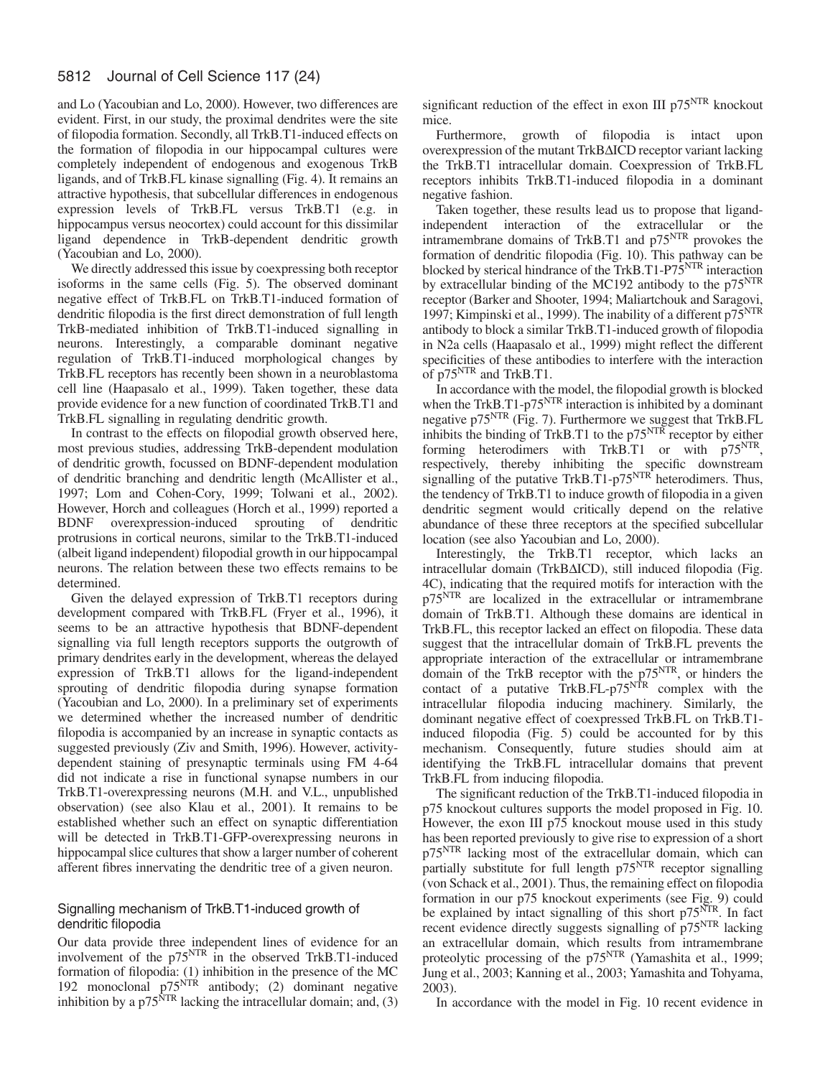and Lo (Yacoubian and Lo, 2000). However, two differences are evident. First, in our study, the proximal dendrites were the site of filopodia formation. Secondly, all TrkB.T1-induced effects on the formation of filopodia in our hippocampal cultures were completely independent of endogenous and exogenous TrkB ligands, and of TrkB.FL kinase signalling (Fig. 4). It remains an attractive hypothesis, that subcellular differences in endogenous expression levels of TrkB.FL versus TrkB.T1 (e.g. in hippocampus versus neocortex) could account for this dissimilar ligand dependence in TrkB-dependent dendritic growth (Yacoubian and Lo, 2000).

We directly addressed this issue by coexpressing both receptor isoforms in the same cells (Fig. 5). The observed dominant negative effect of TrkB.FL on TrkB.T1-induced formation of dendritic filopodia is the first direct demonstration of full length TrkB-mediated inhibition of TrkB.T1-induced signalling in neurons. Interestingly, a comparable dominant negative regulation of TrkB.T1-induced morphological changes by TrkB.FL receptors has recently been shown in a neuroblastoma cell line (Haapasalo et al., 1999). Taken together, these data provide evidence for a new function of coordinated TrkB.T1 and TrkB.FL signalling in regulating dendritic growth.

In contrast to the effects on filopodial growth observed here, most previous studies, addressing TrkB-dependent modulation of dendritic growth, focussed on BDNF-dependent modulation of dendritic branching and dendritic length (McAllister et al., 1997; Lom and Cohen-Cory, 1999; Tolwani et al., 2002). However, Horch and colleagues (Horch et al., 1999) reported a BDNF overexpression-induced sprouting of dendritic protrusions in cortical neurons, similar to the TrkB.T1-induced (albeit ligand independent) filopodial growth in our hippocampal neurons. The relation between these two effects remains to be determined.

Given the delayed expression of TrkB.T1 receptors during development compared with TrkB.FL (Fryer et al., 1996), it seems to be an attractive hypothesis that BDNF-dependent signalling via full length receptors supports the outgrowth of primary dendrites early in the development, whereas the delayed expression of TrkB.T1 allows for the ligand-independent sprouting of dendritic filopodia during synapse formation (Yacoubian and Lo, 2000). In a preliminary set of experiments we determined whether the increased number of dendritic filopodia is accompanied by an increase in synaptic contacts as suggested previously (Ziv and Smith, 1996). However, activitydependent staining of presynaptic terminals using FM 4-64 did not indicate a rise in functional synapse numbers in our TrkB.T1-overexpressing neurons (M.H. and V.L., unpublished observation) (see also Klau et al., 2001). It remains to be established whether such an effect on synaptic differentiation will be detected in TrkB.T1-GFP-overexpressing neurons in hippocampal slice cultures that show a larger number of coherent afferent fibres innervating the dendritic tree of a given neuron.

# Signalling mechanism of TrkB.T1-induced growth of dendritic filopodia

Our data provide three independent lines of evidence for an involvement of the p75<sup>NTR</sup> in the observed TrkB.T1-induced formation of filopodia: (1) inhibition in the presence of the MC 192 monoclonal  $p75<sup>NTR</sup>$  antibody; (2) dominant negative inhibition by a  $p75<sup>NTR</sup>$  lacking the intracellular domain; and, (3) significant reduction of the effect in exon III  $p75<sup>NTR</sup>$  knockout mice.

Furthermore, growth of filopodia is intact upon overexpression of the mutant TrkB∆ICD receptor variant lacking the TrkB.T1 intracellular domain. Coexpression of TrkB.FL receptors inhibits TrkB.T1-induced filopodia in a dominant negative fashion.

Taken together, these results lead us to propose that ligandindependent interaction of the extracellular or the intramembrane domains of TrkB.T1 and p75<sup>NTR</sup> provokes the formation of dendritic filopodia (Fig. 10). This pathway can be blocked by sterical hindrance of the TrkB.T1-P75<sup>NTR</sup> interaction by extracellular binding of the MC192 antibody to the p75<sup>NTR</sup> receptor (Barker and Shooter, 1994; Maliartchouk and Saragovi, 1997; Kimpinski et al., 1999). The inability of a different  $p75<sup>NTR</sup>$ antibody to block a similar TrkB.T1-induced growth of filopodia in N2a cells (Haapasalo et al., 1999) might reflect the different specificities of these antibodies to interfere with the interaction of p75NTR and TrkB.T1.

In accordance with the model, the filopodial growth is blocked when the TrkB.T1-p75<sup>NTR</sup> interaction is inhibited by a dominant negative p75NTR (Fig. 7). Furthermore we suggest that TrkB.FL inhibits the binding of TrkB.T1 to the  $p75<sup>NTR</sup>$  receptor by either forming heterodimers with TrkB.T1 or with p75<sup>NTR</sup>, respectively, thereby inhibiting the specific downstream signalling of the putative TrkB.T1- $p75<sup>NTR</sup>$  heterodimers. Thus, the tendency of TrkB.T1 to induce growth of filopodia in a given dendritic segment would critically depend on the relative abundance of these three receptors at the specified subcellular location (see also Yacoubian and Lo, 2000).

Interestingly, the TrkB.T1 receptor, which lacks an intracellular domain (TrkB∆ICD), still induced filopodia (Fig. 4C), indicating that the required motifs for interaction with the p75<sup>NTR</sup> are localized in the extracellular or intramembrane domain of TrkB.T1. Although these domains are identical in TrkB.FL, this receptor lacked an effect on filopodia. These data suggest that the intracellular domain of TrkB.FL prevents the appropriate interaction of the extracellular or intramembrane domain of the TrkB receptor with the  $p75<sup>NTR</sup>$ , or hinders the contact of a putative  $\text{TrkB.FL-p75}^{\text{NTR}}$  complex with the intracellular filopodia inducing machinery. Similarly, the dominant negative effect of coexpressed TrkB.FL on TrkB.T1 induced filopodia (Fig. 5) could be accounted for by this mechanism. Consequently, future studies should aim at identifying the TrkB.FL intracellular domains that prevent TrkB.FL from inducing filopodia.

The significant reduction of the TrkB.T1-induced filopodia in p75 knockout cultures supports the model proposed in Fig. 10. However, the exon III p75 knockout mouse used in this study has been reported previously to give rise to expression of a short p75NTR lacking most of the extracellular domain, which can partially substitute for full length p75<sup>NTR</sup> receptor signalling (von Schack et al., 2001). Thus, the remaining effect on filopodia formation in our p75 knockout experiments (see Fig. 9) could be explained by intact signalling of this short  $p75<sup>NTR</sup>$ . In fact recent evidence directly suggests signalling of p75<sup>NTR</sup> lacking an extracellular domain, which results from intramembrane proteolytic processing of the p75<sup>NTR</sup> (Yamashita et al., 1999; Jung et al., 2003; Kanning et al., 2003; Yamashita and Tohyama, 2003).

In accordance with the model in Fig. 10 recent evidence in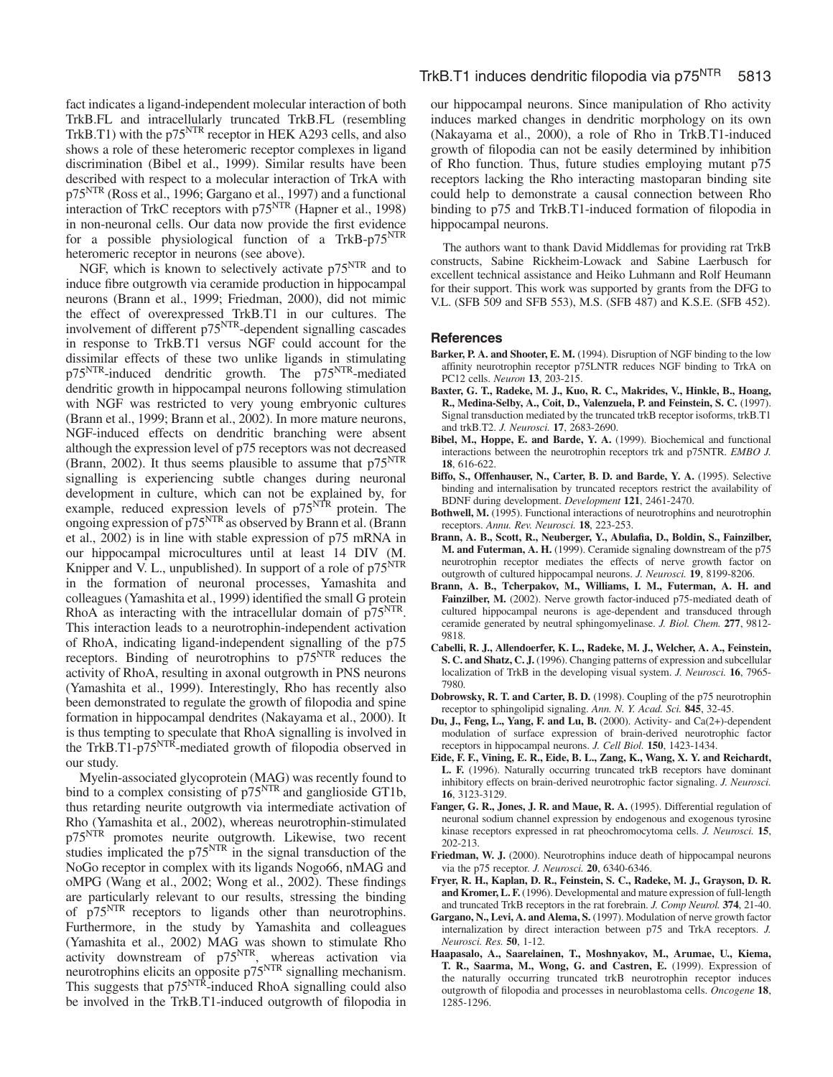fact indicates a ligand-independent molecular interaction of both TrkB.FL and intracellularly truncated TrkB.FL (resembling TrkB.T1) with the p75<sup>NTR</sup> receptor in HEK A293 cells, and also shows a role of these heteromeric receptor complexes in ligand discrimination (Bibel et al., 1999). Similar results have been described with respect to a molecular interaction of TrkA with p75<sup>NTR</sup> (Ross et al., 1996; Gargano et al., 1997) and a functional interaction of TrkC receptors with p75<sup>NTR</sup> (Hapner et al., 1998) in non-neuronal cells. Our data now provide the first evidence for a possible physiological function of a TrkB-p75<sup>NTR</sup> heteromeric receptor in neurons (see above).

NGF, which is known to selectively activate p75<sup>NTR</sup> and to induce fibre outgrowth via ceramide production in hippocampal neurons (Brann et al., 1999; Friedman, 2000), did not mimic the effect of overexpressed TrkB.T1 in our cultures. The involvement of different p75<sup>NTR</sup>-dependent signalling cascades in response to TrkB.T1 versus NGF could account for the dissimilar effects of these two unlike ligands in stimulating p75<sup>NTR</sup>-induced dendritic growth. The p75<sup>NTR</sup>-mediated dendritic growth in hippocampal neurons following stimulation with NGF was restricted to very young embryonic cultures (Brann et al., 1999; Brann et al., 2002). In more mature neurons, NGF-induced effects on dendritic branching were absent although the expression level of p75 receptors was not decreased (Brann, 2002). It thus seems plausible to assume that  $p75<sup>NTR</sup>$ signalling is experiencing subtle changes during neuronal development in culture, which can not be explained by, for example, reduced expression levels of p75<sup>NTR</sup> protein. The ongoing expression of  $p75<sup>NTR</sup>$  as observed by Brann et al. (Brann et al., 2002) is in line with stable expression of p75 mRNA in our hippocampal microcultures until at least 14 DIV (M. Knipper and V. L., unpublished). In support of a role of  $p75<sup>NTR</sup>$ in the formation of neuronal processes, Yamashita and colleagues (Yamashita et al., 1999) identified the small G protein RhoA as interacting with the intracellular domain of p75<sup>NTR</sup>. This interaction leads to a neurotrophin-independent activation of RhoA, indicating ligand-independent signalling of the p75 receptors. Binding of neurotrophins to p75NTR reduces the activity of RhoA, resulting in axonal outgrowth in PNS neurons (Yamashita et al., 1999). Interestingly, Rho has recently also been demonstrated to regulate the growth of filopodia and spine formation in hippocampal dendrites (Nakayama et al., 2000). It is thus tempting to speculate that RhoA signalling is involved in the TrkB.T1-p75<sup>NTR</sup>-mediated growth of filopodia observed in our study.

Myelin-associated glycoprotein (MAG) was recently found to bind to a complex consisting of  $p75<sup>NTR</sup>$  and ganglioside GT1b, thus retarding neurite outgrowth via intermediate activation of Rho (Yamashita et al., 2002), whereas neurotrophin-stimulated p75<sup>NTR</sup> promotes neurite outgrowth. Likewise, two recent studies implicated the  $p75<sup>NTR</sup>$  in the signal transduction of the NoGo receptor in complex with its ligands Nogo66, nMAG and oMPG (Wang et al., 2002; Wong et al., 2002). These findings are particularly relevant to our results, stressing the binding of p75NTR receptors to ligands other than neurotrophins. Furthermore, in the study by Yamashita and colleagues (Yamashita et al., 2002) MAG was shown to stimulate Rho activity downstream of p75<sup>NTR</sup>, whereas activation via neurotrophins elicits an opposite p75<sup>NTR</sup> signalling mechanism. This suggests that p75<sup>NTR</sup>-induced RhoA signalling could also be involved in the TrkB.T1-induced outgrowth of filopodia in

our hippocampal neurons. Since manipulation of Rho activity induces marked changes in dendritic morphology on its own (Nakayama et al., 2000), a role of Rho in TrkB.T1-induced growth of filopodia can not be easily determined by inhibition of Rho function. Thus, future studies employing mutant p75 receptors lacking the Rho interacting mastoparan binding site could help to demonstrate a causal connection between Rho binding to p75 and TrkB.T1-induced formation of filopodia in hippocampal neurons.

The authors want to thank David Middlemas for providing rat TrkB constructs, Sabine Rickheim-Lowack and Sabine Laerbusch for excellent technical assistance and Heiko Luhmann and Rolf Heumann for their support. This work was supported by grants from the DFG to V.L. (SFB 509 and SFB 553), M.S. (SFB 487) and K.S.E. (SFB 452).

# **References**

- **Barker, P. A. and Shooter, E. M.** (1994). Disruption of NGF binding to the low affinity neurotrophin receptor p75LNTR reduces NGF binding to TrkA on PC12 cells. *Neuron* **13**, 203-215.
- **Baxter, G. T., Radeke, M. J., Kuo, R. C., Makrides, V., Hinkle, B., Hoang, R., Medina-Selby, A., Coit, D., Valenzuela, P. and Feinstein, S. C.** (1997). Signal transduction mediated by the truncated trkB receptor isoforms, trkB.T1 and trkB.T2. *J. Neurosci.* **17**, 2683-2690.
- **Bibel, M., Hoppe, E. and Barde, Y. A.** (1999). Biochemical and functional interactions between the neurotrophin receptors trk and p75NTR. *EMBO J.* **18**, 616-622.
- **Biffo, S., Offenhauser, N., Carter, B. D. and Barde, Y. A.** (1995). Selective binding and internalisation by truncated receptors restrict the availability of BDNF during development. *Development* **121**, 2461-2470.
- **Bothwell, M.** (1995). Functional interactions of neurotrophins and neurotrophin receptors. *Annu. Rev. Neurosci.* **18**, 223-253.
- **Brann, A. B., Scott, R., Neuberger, Y., Abulafia, D., Boldin, S., Fainzilber, M. and Futerman, A. H.** (1999). Ceramide signaling downstream of the p75 neurotrophin receptor mediates the effects of nerve growth factor on outgrowth of cultured hippocampal neurons. *J. Neurosci.* **19**, 8199-8206.
- **Brann, A. B., Tcherpakov, M., Williams, I. M., Futerman, A. H. and** Fainzilber, M. (2002). Nerve growth factor-induced p75-mediated death of cultured hippocampal neurons is age-dependent and transduced through ceramide generated by neutral sphingomyelinase. *J. Biol. Chem.* **277**, 9812- 9818.
- **Cabelli, R. J., Allendoerfer, K. L., Radeke, M. J., Welcher, A. A., Feinstein, S. C. and Shatz, C. J.** (1996). Changing patterns of expression and subcellular localization of TrkB in the developing visual system. *J. Neurosci.* **16**, 7965- 7980.
- **Dobrowsky, R. T. and Carter, B. D.** (1998). Coupling of the p75 neurotrophin receptor to sphingolipid signaling. *Ann. N. Y. Acad. Sci.* **845**, 32-45.
- **Du, J., Feng, L., Yang, F. and Lu, B.** (2000). Activity- and Ca(2+)-dependent modulation of surface expression of brain-derived neurotrophic factor receptors in hippocampal neurons. *J. Cell Biol.* **150**, 1423-1434.
- **Eide, F. F., Vining, E. R., Eide, B. L., Zang, K., Wang, X. Y. and Reichardt, L. F.** (1996). Naturally occurring truncated trkB receptors have dominant inhibitory effects on brain-derived neurotrophic factor signaling. *J. Neurosci.* **16**, 3123-3129.
- Fanger, G. R., Jones, J. R. and Maue, R. A. (1995). Differential regulation of neuronal sodium channel expression by endogenous and exogenous tyrosine kinase receptors expressed in rat pheochromocytoma cells. *J. Neurosci.* **15**, 202-213.
- **Friedman, W. J.** (2000). Neurotrophins induce death of hippocampal neurons via the p75 receptor. *J. Neurosci.* **20**, 6340-6346.
- **Fryer, R. H., Kaplan, D. R., Feinstein, S. C., Radeke, M. J., Grayson, D. R. and Kromer, L. F.** (1996). Developmental and mature expression of full-length and truncated TrkB receptors in the rat forebrain. *J. Comp Neurol.* **374**, 21-40.
- **Gargano, N., Levi, A. and Alema, S.** (1997). Modulation of nerve growth factor internalization by direct interaction between p75 and TrkA receptors. *J. Neurosci. Res.* **50**, 1-12.
- **Haapasalo, A., Saarelainen, T., Moshnyakov, M., Arumae, U., Kiema, T. R., Saarma, M., Wong, G. and Castren, E.** (1999). Expression of the naturally occurring truncated trkB neurotrophin receptor induces outgrowth of filopodia and processes in neuroblastoma cells. *Oncogene* **18**, 1285-1296.